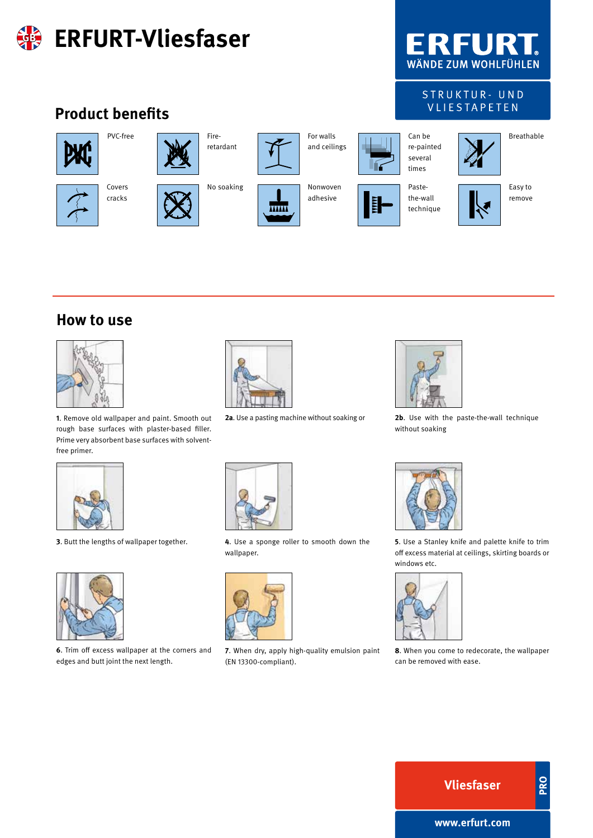

#### **How to use**



**1**. Remove old wallpaper and paint. Smooth out rough base surfaces with plaster-based filler. Prime very absorbent base surfaces with solventfree primer.



**2a**. Use a pasting machine without soaking or



**2b**. Use with the paste-the-wall technique without soaking





**6**. Trim off excess wallpaper at the corners and edges and butt joint the next length.





**7**. When dry, apply high-quality emulsion paint (EN 13300-compliant).



off excess material at ceilings, skirting boards or windows etc.



**8**. When you come to redecorate, the wallpaper can be removed with ease.